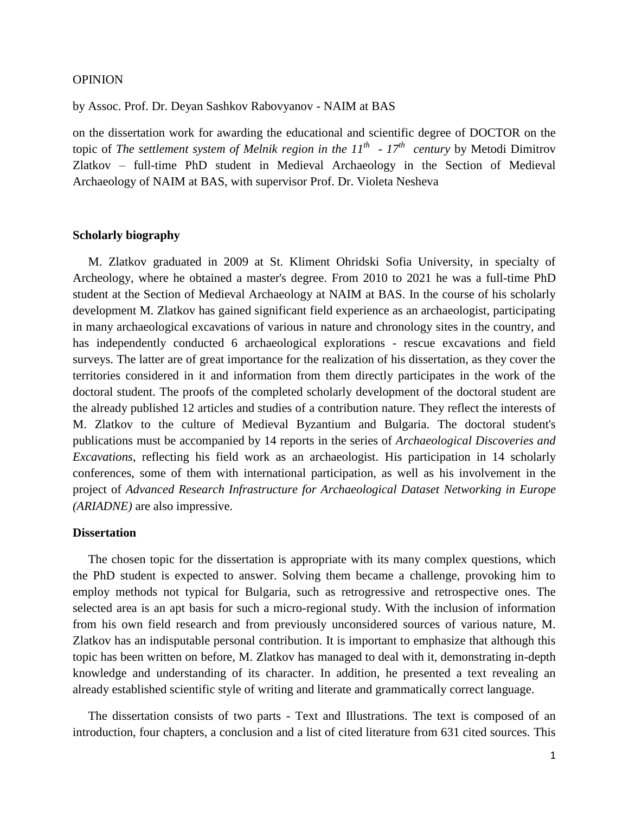### OPINION

by Assoc. Prof. Dr. Deyan Sashkov Rabovyanov - NAIM at BAS

on the dissertation work for awarding the educational and scientific degree of DOCTOR on the topic of *The settlement system of Melnik region in the 11th - 17th century* by Metodi Dimitrov Zlatkov – full-time PhD student in Medieval Archaeology in the Section of Medieval Archaeology of NAIM at BAS, with supervisor Prof. Dr. Violeta Nesheva

#### **Scholarly biography**

M. Zlatkov graduated in 2009 at St. Kliment Ohridski Sofia University, in specialty of Archeology, where he obtained a master's degree. From 2010 to 2021 he was a full-time PhD student at the Section of Medieval Archaeology at NAIM at BAS. In the course of his scholarly development M. Zlatkov has gained significant field experience as an archaeologist, participating in many archaeological excavations of various in nature and chronology sites in the country, and has independently conducted 6 archaeological explorations - rescue excavations and field surveys. The latter are of great importance for the realization of his dissertation, as they cover the territories considered in it and information from them directly participates in the work of the doctoral student. The proofs of the completed scholarly development of the doctoral student are the already published 12 articles and studies of a contribution nature. They reflect the interests of M. Zlatkov to the culture of Medieval Byzantium and Bulgaria. The doctoral student's publications must be accompanied by 14 reports in the series of *Archaeological Discoveries and Excavations*, reflecting his field work as an archaeologist. His participation in 14 scholarly conferences, some of them with international participation, as well as his involvement in the project of *Advanced Research Infrastructure for Archaeological Dataset Networking in Europe (ARIADNE)* are also impressive.

## **Dissertation**

The chosen topic for the dissertation is appropriate with its many complex questions, which the PhD student is expected to answer. Solving them became a challenge, provoking him to employ methods not typical for Bulgaria, such as retrogressive and retrospective ones. The selected area is an apt basis for such a micro-regional study. With the inclusion of information from his own field research and from previously unconsidered sources of various nature, M. Zlatkov has an indisputable personal contribution. It is important to emphasize that although this topic has been written on before, M. Zlatkov has managed to deal with it, demonstrating in-depth knowledge and understanding of its character. In addition, he presented a text revealing an already established scientific style of writing and literate and grammatically correct language.

 The dissertation consists of two parts - Text and Illustrations. The text is composed of an introduction, four chapters, a conclusion and a list of cited literature from 631 cited sources. This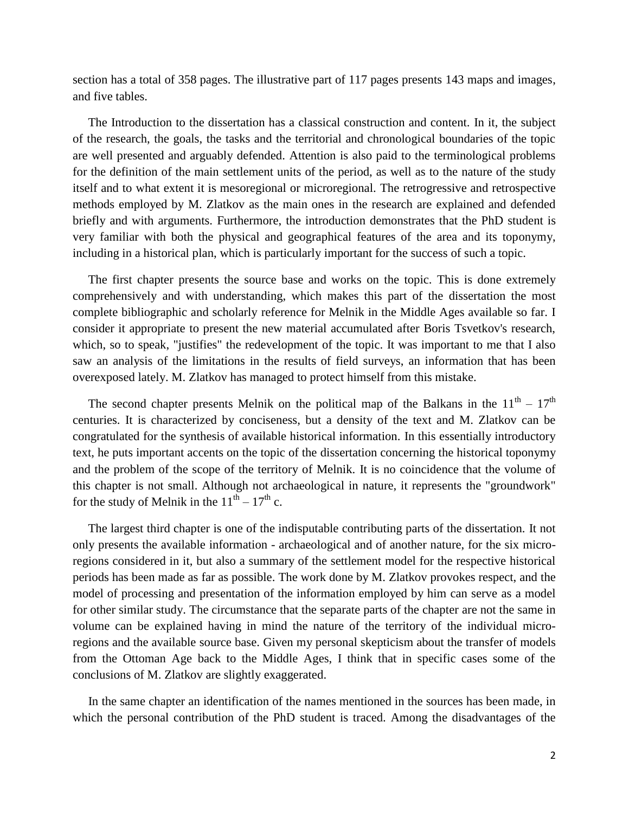section has a total of 358 pages. The illustrative part of 117 pages presents 143 maps and images, and five tables.

 The Introduction to the dissertation has a classical construction and content. In it, the subject of the research, the goals, the tasks and the territorial and chronological boundaries of the topic are well presented and arguably defended. Attention is also paid to the terminological problems for the definition of the main settlement units of the period, as well as to the nature of the study itself and to what extent it is mesoregional or microregional. The retrogressive and retrospective methods employed by M. Zlatkov as the main ones in the research are explained and defended briefly and with arguments. Furthermore, the introduction demonstrates that the PhD student is very familiar with both the physical and geographical features of the area and its toponymy, including in a historical plan, which is particularly important for the success of such a topic.

 The first chapter presents the source base and works on the topic. This is done extremely comprehensively and with understanding, which makes this part of the dissertation the most complete bibliographic and scholarly reference for Melnik in the Middle Ages available so far. I consider it appropriate to present the new material accumulated after Boris Tsvetkov's research, which, so to speak, "justifies" the redevelopment of the topic. It was important to me that I also saw an analysis of the limitations in the results of field surveys, an information that has been overexposed lately. M. Zlatkov has managed to protect himself from this mistake.

The second chapter presents Melnik on the political map of the Balkans in the  $11<sup>th</sup> - 17<sup>th</sup>$ centuries. It is characterized by conciseness, but a density of the text and M. Zlatkov can be congratulated for the synthesis of available historical information. In this essentially introductory text, he puts important accents on the topic of the dissertation concerning the historical toponymy and the problem of the scope of the territory of Melnik. It is no coincidence that the volume of this chapter is not small. Although not archaeological in nature, it represents the "groundwork" for the study of Melnik in the  $11^{th} - 17^{th}$  c.

 The largest third chapter is one of the indisputable contributing parts of the dissertation. It not only presents the available information - archaeological and of another nature, for the six microregions considered in it, but also a summary of the settlement model for the respective historical periods has been made as far as possible. The work done by M. Zlatkov provokes respect, and the model of processing and presentation of the information employed by him can serve as a model for other similar study. The circumstance that the separate parts of the chapter are not the same in volume can be explained having in mind the nature of the territory of the individual microregions and the available source base. Given my personal skepticism about the transfer of models from the Ottoman Age back to the Middle Ages, I think that in specific cases some of the conclusions of M. Zlatkov are slightly exaggerated.

 In the same chapter an identification of the names mentioned in the sources has been made, in which the personal contribution of the PhD student is traced. Among the disadvantages of the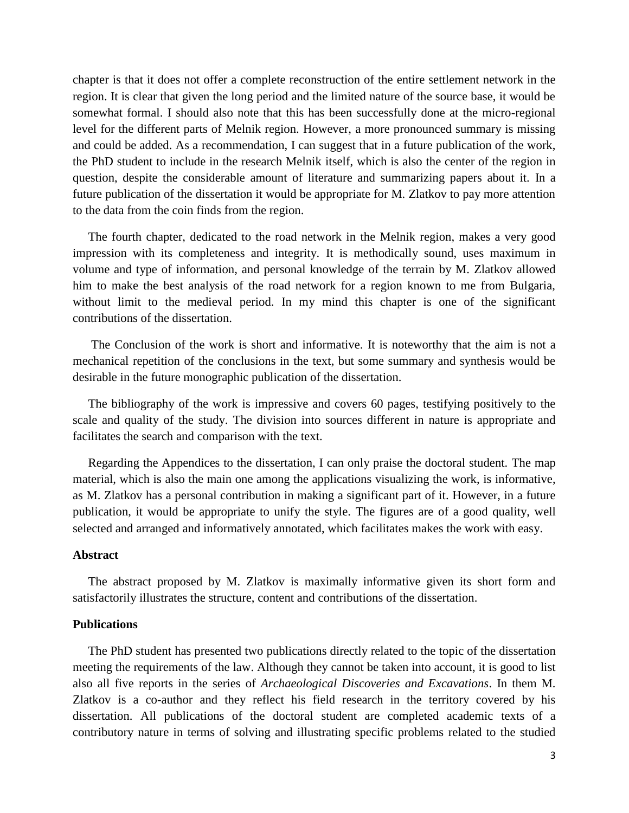chapter is that it does not offer a complete reconstruction of the entire settlement network in the region. It is clear that given the long period and the limited nature of the source base, it would be somewhat formal. I should also note that this has been successfully done at the micro-regional level for the different parts of Melnik region. However, a more pronounced summary is missing and could be added. As a recommendation, I can suggest that in a future publication of the work, the PhD student to include in the research Melnik itself, which is also the center of the region in question, despite the considerable amount of literature and summarizing papers about it. In a future publication of the dissertation it would be appropriate for M. Zlatkov to pay more attention to the data from the coin finds from the region.

 The fourth chapter, dedicated to the road network in the Melnik region, makes a very good impression with its completeness and integrity. It is methodically sound, uses maximum in volume and type of information, and personal knowledge of the terrain by M. Zlatkov allowed him to make the best analysis of the road network for a region known to me from Bulgaria, without limit to the medieval period. In my mind this chapter is one of the significant contributions of the dissertation.

 The Conclusion of the work is short and informative. It is noteworthy that the aim is not a mechanical repetition of the conclusions in the text, but some summary and synthesis would be desirable in the future monographic publication of the dissertation.

 The bibliography of the work is impressive and covers 60 pages, testifying positively to the scale and quality of the study. The division into sources different in nature is appropriate and facilitates the search and comparison with the text.

 Regarding the Appendices to the dissertation, I can only praise the doctoral student. The map material, which is also the main one among the applications visualizing the work, is informative, as M. Zlatkov has a personal contribution in making a significant part of it. However, in a future publication, it would be appropriate to unify the style. The figures are of a good quality, well selected and arranged and informatively annotated, which facilitates makes the work with easy.

# **Abstract**

 The abstract proposed by M. Zlatkov is maximally informative given its short form and satisfactorily illustrates the structure, content and contributions of the dissertation.

### **Publications**

 The PhD student has presented two publications directly related to the topic of the dissertation meeting the requirements of the law. Although they cannot be taken into account, it is good to list also all five reports in the series of *Archaeological Discoveries and Excavations*. In them M. Zlatkov is a co-author and they reflect his field research in the territory covered by his dissertation. All publications of the doctoral student are completed academic texts of a contributory nature in terms of solving and illustrating specific problems related to the studied